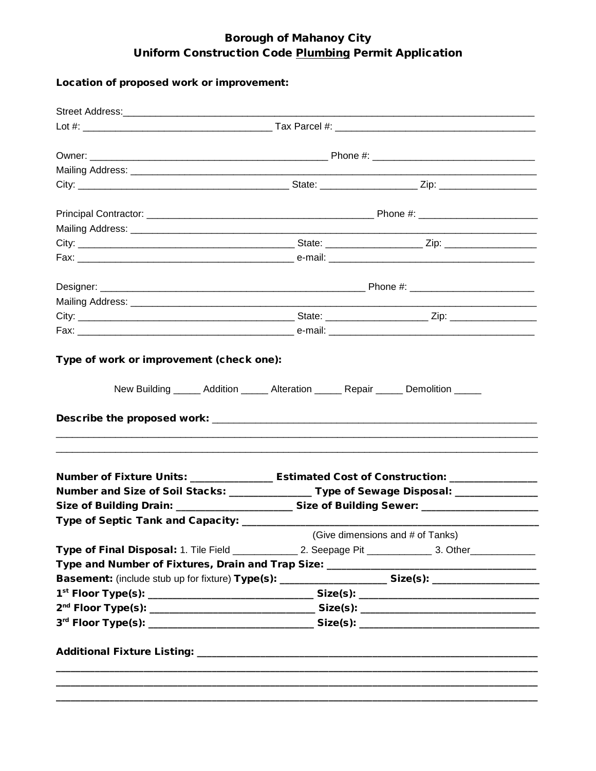## **Borough of Mahanoy City** Uniform Construction Code Plumbing Permit Application

## Location of proposed work or improvement:

| Number of Fixture Units: __________________ Estimated Cost of Construction: _________________       |                                                                                          |                                  |
|-----------------------------------------------------------------------------------------------------|------------------------------------------------------------------------------------------|----------------------------------|
|                                                                                                     | Number and Size of Soil Stacks: ________________ Type of Sewage Disposal: ______________ |                                  |
| Size of Building Drain: _______________________Size of Building Sewer: ____________________________ |                                                                                          |                                  |
| Type of Septic Tank and Capacity: ________                                                          |                                                                                          |                                  |
|                                                                                                     |                                                                                          | (Give dimensions and # of Tanks) |
|                                                                                                     |                                                                                          |                                  |
|                                                                                                     |                                                                                          |                                  |
| Basement: (include stub up for fixture) Type(s): _____________________ Size(s): ___________________ |                                                                                          |                                  |
|                                                                                                     |                                                                                          |                                  |
|                                                                                                     |                                                                                          |                                  |
|                                                                                                     |                                                                                          |                                  |
|                                                                                                     |                                                                                          |                                  |
|                                                                                                     |                                                                                          |                                  |